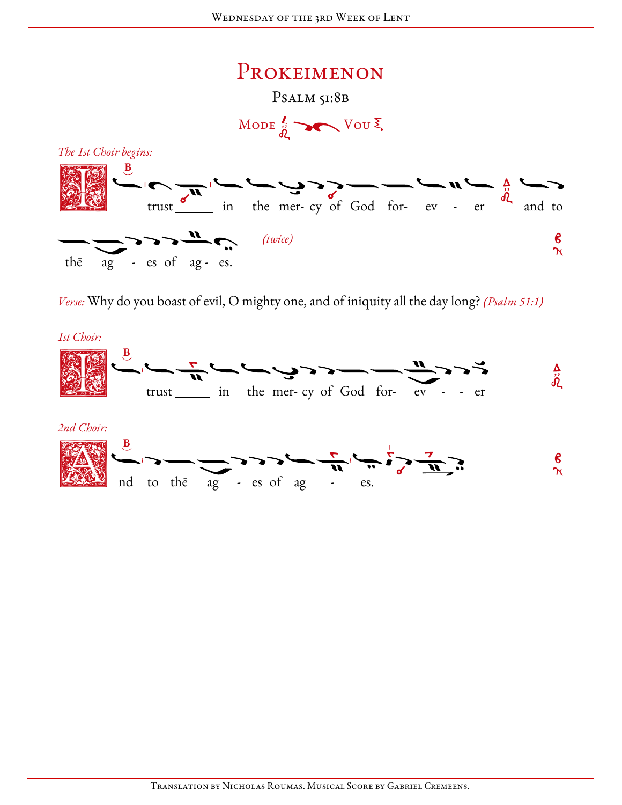

Verse: Why do you boast of evil, O mighty one, and of iniquity all the day long? (Psalm 51:1)